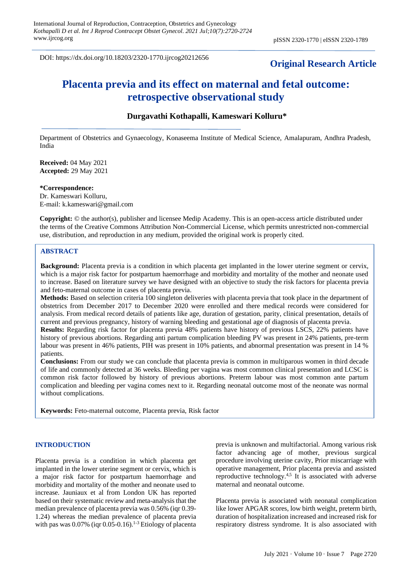DOI: https://dx.doi.org/10.18203/2320-1770.ijrcog20212656

## **Original Research Article**

# **Placenta previa and its effect on maternal and fetal outcome: retrospective observational study**

### **Durgavathi Kothapalli, Kameswari Kolluru\***

Department of Obstetrics and Gynaecology, Konaseema Institute of Medical Science, Amalapuram, Andhra Pradesh, India

**Received:** 04 May 2021 **Accepted:** 29 May 2021

**\*Correspondence:** Dr. Kameswari Kolluru, E-mail: k.kameswari@gmail.com

**Copyright:** © the author(s), publisher and licensee Medip Academy. This is an open-access article distributed under the terms of the Creative Commons Attribution Non-Commercial License, which permits unrestricted non-commercial use, distribution, and reproduction in any medium, provided the original work is properly cited.

#### **ABSTRACT**

**Background:** Placenta previa is a condition in which placenta get implanted in the lower uterine segment or cervix, which is a major risk factor for postpartum haemorrhage and morbidity and mortality of the mother and neonate used to increase. Based on literature survey we have designed with an objective to study the risk factors for placenta previa and feto-maternal outcome in cases of placenta previa.

**Methods:** Based on selection criteria 100 singleton deliveries with placenta previa that took place in the department of obstetrics from December 2017 to December 2020 were enrolled and there medical records were considered for analysis. From medical record details of patients like age, duration of gestation, parity, clinical presentation, details of current and previous pregnancy, history of warning bleeding and gestational age of diagnosis of placenta previa.

**Results:** Regarding risk factor for placenta previa 48% patients have history of previous LSCS, 22% patients have history of previous abortions. Regarding anti partum complication bleeding PV was present in 24% patients, pre-term labour was present in 46% patients, PIH was present in 10% patients, and abnormal presentation was present in 14 % patients.

**Conclusions:** From our study we can conclude that placenta previa is common in multiparous women in third decade of life and commonly detected at 36 weeks. Bleeding per vagina was most common clinical presentation and LCSC is common risk factor followed by history of previous abortions. Preterm labour was most common ante partum complication and bleeding per vagina comes next to it. Regarding neonatal outcome most of the neonate was normal without complications.

**Keywords:** Feto-maternal outcome, Placenta previa, Risk factor

#### **INTRODUCTION**

Placenta previa is a condition in which placenta get implanted in the lower uterine segment or cervix, which is a major risk factor for postpartum haemorrhage and morbidity and mortality of the mother and neonate used to increase. Jauniaux et al from London UK has reported based on their systematic review and meta-analysis that the median prevalence of placenta previa was 0.56% (iqr 0.39- 1.24) whereas the median prevalence of placenta previa with pas was  $0.07\%$  (iqr 0.05-0.16).<sup>1-3</sup> Etiology of placenta previa is unknown and multifactorial. Among various risk factor advancing age of mother, previous surgical procedure involving uterine cavity, Prior miscarriage with operative management, Prior placenta previa and assisted reproductive technology.4,5 It is associated with adverse maternal and neonatal outcome.

Placenta previa is associated with neonatal complication like lower APGAR scores, low birth weight, preterm birth, duration of hospitalization increased and increased risk for respiratory distress syndrome. It is also associated with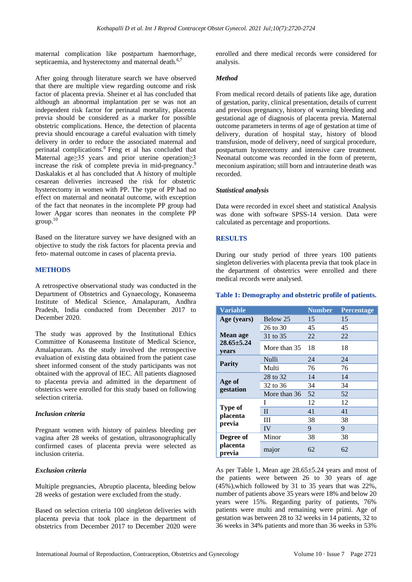maternal complication like postpartum haemorrhage, septicaemia, and hysterectomy and maternal death.<sup>6,7</sup>

After going through literature search we have observed that there are multiple view regarding outcome and risk factor of placenta previa. Sheiner et al has concluded that although an abnormal implantation per se was not an independent risk factor for perinatal mortality, placenta previa should be considered as a marker for possible obstetric complications. Hence, the detection of placenta previa should encourage a careful evaluation with timely delivery in order to reduce the associated maternal and perinatal complications.<sup>8</sup>Feng et al has concluded that Maternal age≥35 years and prior uterine operation≥3 increase the risk of complete previa in mid-pregnancy.<sup>9</sup> Daskalakis et al has concluded that A history of multiple cesarean deliveries increased the risk for obstetric hysterectomy in women with PP. The type of PP had no effect on maternal and neonatal outcome, with exception of the fact that neonates in the incomplete PP group had lower Apgar scores than neonates in the complete PP group. 10

Based on the literature survey we have designed with an objective to study the risk factors for placenta previa and feto- maternal outcome in cases of placenta previa.

#### **METHODS**

A retrospective observational study was conducted in the Department of Obstetrics and Gynaecology, Konaseema Institute of Medical Science, Amalapuram, Andhra Pradesh, India conducted from December 2017 to December 2020.

The study was approved by the Institutional Ethics Committee of Konaseema Institute of Medical Science, Amalapuram. As the study involved the retrospective evaluation of existing data obtained from the patient case sheet informed consent of the study participants was not obtained with the approval of IEC. All patients diagnosed to placenta previa and admitted in the department of obstetrics were enrolled for this study based on following selection criteria.

#### *Inclusion criteria*

Pregnant women with history of painless bleeding per vagina after 28 weeks of gestation, ultrasonographically confirmed cases of placenta previa were selected as inclusion criteria.

#### *Exclusion criteria*

Multiple pregnancies, Abruptio placenta, bleeding below 28 weeks of gestation were excluded from the study.

Based on selection criteria 100 singleton deliveries with placenta previa that took place in the department of obstetrics from December 2017 to December 2020 were enrolled and there medical records were considered for analysis.

#### *Method*

From medical record details of patients like age, duration of gestation, parity, clinical presentation, details of current and previous pregnancy, history of warning bleeding and gestational age of diagnosis of placenta previa. Maternal outcome parameters in terms of age of gestation at time of delivery, duration of hospital stay, history of blood transfusion, mode of delivery, need of surgical procedure, postpartum hysterectomy and intensive care treatment. Neonatal outcome was recorded in the form of preterm, meconium aspiration; still born and intrauterine death was recorded.

#### *Statistical analysis*

Data were recorded in excel sheet and statistical Analysis was done with software SPSS-14 version. Data were calculated as percentage and proportions.

#### **RESULTS**

During our study period of three years 100 patients singleton deliveries with placenta previa that took place in the department of obstetrics were enrolled and there medical records were analysed.

#### **Table 1: Demography and obstetric profile of patients.**

| <b>Variable</b>           |              | <b>Number</b> | Percentage |
|---------------------------|--------------|---------------|------------|
| Age (years)               | Below 25     | 15            | 15         |
|                           | 26 to 30     | 45            | 45         |
| Mean age                  | 31 to 35     | 22            | 22         |
| $28.65 \pm 5.24$<br>years | More than 35 | 18            | 18         |
|                           | Nulli        | 24            | 24         |
| <b>Parity</b>             | Multi        | 76            | 76         |
| Age of<br>gestation       | 28 to 32     | 14            | 14         |
|                           | 32 to 36     | 34            | 34         |
|                           | More than 36 | 52            | 52         |
|                           | I            | 12            | 12         |
| Type of<br>placenta       | $\mathbf{I}$ | 41            | 41         |
| previa                    | Ш            | 38            | 38         |
|                           | IV           | 9             | 9          |
| Degree of                 | Minor        | 38            | 38         |
| placenta<br>previa        | major        | 62            | 62         |

As per Table 1, Mean age 28.65±5.24 years and most of the patients were between 26 to 30 years of age (45%),which followed by 31 to 35 years that was 22%, number of patients above 35 years were 18% and below 20 years were 15%. Regarding parity of patients, 76% patients were multi and remaining were primi. Age of gestation was between 28 to 32 weeks in 14 patients, 32 to 36 weeks in 34% patients and more than 36 weeks in 53%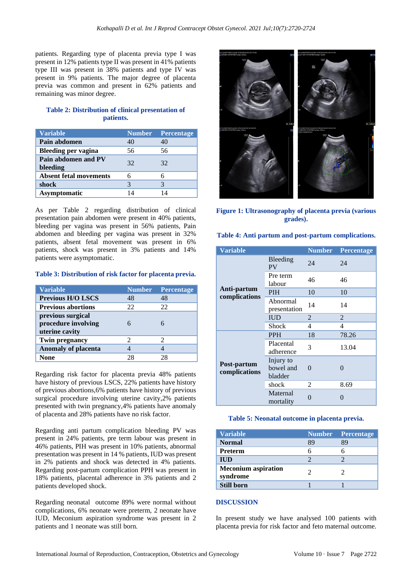patients. Regarding type of placenta previa type I was present in 12% patients type II was present in 41% patients type III was present in 38% patients and type IV was present in 9% patients. The major degree of placenta previa was common and present in 62% patients and remaining was minor degree.

## **Table 2: Distribution of clinical presentation of patients.**

| <b>Variable</b>                 | <b>Number</b> | <b>Percentage</b> |
|---------------------------------|---------------|-------------------|
| Pain abdomen                    | 40            | 40                |
| Bleeding per vagina             | 56            | 56                |
| Pain abdomen and PV<br>bleeding | 32            | 32                |
| <b>Absent fetal movements</b>   |               |                   |
| shock                           |               | 3                 |
| <b>Asymptomatic</b>             | $\Lambda$     |                   |

As per Table 2 regarding distribution of clinical presentation pain abdomen were present in 40% patients, bleeding per vagina was present in 56% patients, Pain abdomen and bleeding per vagina was present in 32% patients, absent fetal movement was present in 6% patients, shock was present in 3% patients and 14% patients were asymptomatic.

#### **Table 3: Distribution of risk factor for placenta previa.**

| <b>Variable</b>                                            | <b>Number</b> | Percentage |
|------------------------------------------------------------|---------------|------------|
| <b>Previous H/O LSCS</b>                                   | 48            | 48         |
| <b>Previous abortions</b>                                  | 22            | 22         |
| previous surgical<br>procedure involving<br>uterine cavity |               |            |
| <b>Twin pregnancy</b>                                      | 2             | 2          |
| <b>Anomaly of placenta</b>                                 |               |            |
| None                                                       | 28            | 28         |

Regarding risk factor for placenta previa 48% patients have history of previous LSCS, 22% patients have history of previous abortions,6% patients have history of previous surgical procedure involving uterine cavity,2% patients presented with twin pregnancy,4% patients have anomaly of placenta and 28% patients have no risk factor.

Regarding anti partum complication bleeding PV was present in 24% patients, pre term labour was present in 46% patients, PIH was present in 10% patients, abnormal presentation was present in 14 % patients, IUD was present in 2% patients and shock was detected in 4% patients. Regarding post-partum complication PPH was present in 18% patients, placental adherence in 3% patients and 2 patients developed shock.

Regarding neonatal outcome 89% were normal without complications, 6% neonate were preterm, 2 neonate have IUD, Meconium aspiration syndrome was present in 2 patients and 1 neonate was still born.



**Figure 1: Ultrasonography of placenta previa (various grades).**

| Table 4: Anti partum and post-partum complications. |  |
|-----------------------------------------------------|--|
|-----------------------------------------------------|--|

| <b>Variable</b>              |                                   | <b>Number</b> | Percentage |
|------------------------------|-----------------------------------|---------------|------------|
|                              | Bleeding<br><b>PV</b>             | 24            | 24         |
|                              | Pre term<br>labour                | 46            | 46         |
| Anti-partum                  | <b>PIH</b>                        | 10            | 10         |
| complications                | Abnormal<br>presentation          | 14            | 14         |
|                              | <b>IUD</b>                        | 2             | 2          |
|                              | Shock                             | 4             | 4          |
| Post-partum<br>complications | <b>PPH</b>                        | 18            | 78.26      |
|                              | Placental<br>adherence            | 3             | 13.04      |
|                              | Injury to<br>bowel and<br>bladder | 0             | 0          |
|                              | shock                             | 2             | 8.69       |
|                              | Maternal<br>mortality             | 0             |            |

#### **Table 5: Neonatal outcome in placenta previa.**

| <b>Variable</b>                        |    | <b>Number</b> Percentage |
|----------------------------------------|----|--------------------------|
| <b>Normal</b>                          | 89 | 89                       |
| Preterm                                |    |                          |
| <b>IUD</b>                             |    |                          |
| <b>Meconium aspiration</b><br>syndrome |    |                          |
| <b>Still born</b>                      |    |                          |

#### **DISCUSSION**

In present study we have analysed 100 patients with placenta previa for risk factor and feto maternal outcome.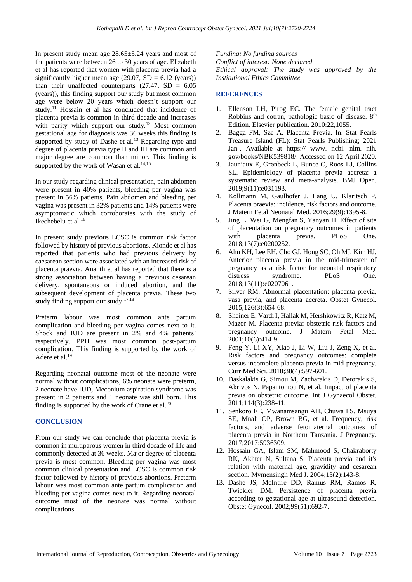In present study mean age 28.65±5.24 years and most of the patients were between 26 to 30 years of age. Elizabeth et al has reported that women with placenta previa had a significantly higher mean age  $(29.07, SD = 6.12$  (years)) than their unaffected counterparts  $(27.47, SD = 6.05)$ (years)), this finding support our study but most common age were below 20 years which doesn't support our study.<sup>11</sup> Hossain et al has concluded that incidence of placenta previa is common in third decade and increases with parity which support our study.<sup>12</sup> Most common gestational age for diagnosis was 36 weeks this finding is supported by study of Dashe et al.<sup>13</sup> Regarding type and degree of placenta previa type II and III are common and major degree are common than minor. This finding is supported by the work of Wasan et al. $14,15$ 

In our study regarding clinical presentation, pain abdomen were present in 40% patients, bleeding per vagina was present in 56% patients, Pain abdomen and bleeding per vagina was present in 32% patients and 14% patients were asymptomatic which corroborates with the study of Ikechebelu et al.<sup>16</sup>

In present study previous LCSC is common risk factor followed by history of previous abortions. Kiondo et al has reported that patients who had previous delivery by caesarean section were associated with an increased risk of placenta praevia. Ananth et al has reported that there is a strong association between having a previous cesarean delivery, spontaneous or induced abortion, and the subsequent development of placenta previa. These two study finding support our study. $17,18$ 

Preterm labour was most common ante partum complication and bleeding per vagina comes next to it. Shock and IUD are present in 2% and 4% patients' respectively. PPH was most common post-partum complication. This finding is supported by the work of Adere et al. 19

Regarding neonatal outcome most of the neonate were normal without complications, 6% neonate were preterm, 2 neonate have IUD, Meconium aspiration syndrome was present in 2 patients and 1 neonate was still born. This finding is supported by the work of Crane et al.<sup>20</sup>

## **CONCLUSION**

From our study we can conclude that placenta previa is common in multiparous women in third decade of life and commonly detected at 36 weeks. Major degree of placenta previa is most common. Bleeding per vagina was most common clinical presentation and LCSC is common risk factor followed by history of previous abortions. Preterm labour was most common ante partum complication and bleeding per vagina comes next to it. Regarding neonatal outcome most of the neonate was normal without complications.

*Funding: No funding sources Conflict of interest: None declared Ethical approval: The study was approved by the Institutional Ethics Committee*

#### **REFERENCES**

- 1. Ellenson LH, Pirog EC. The female genital tract Robbins and cotran, pathologic basic of disease. 8th Edition. Elsevier publication. 2010:22,1055.
- 2. Bagga FM, Sze A. Placenta Previa. In: Stat Pearls Treasure Island (FL): Stat Pearls Publishing; 2021 Jan-. Available at https:// www. ncbi. nlm. nih. gov/books/NBK539818/. Accessed on 12 April 2020.
- 3. Jauniaux E, Grønbeck L, Bunce C, Roos LJ, Collins SL. Epidemiology of placenta previa accreta: a systematic review and meta-analysis. BMJ Open. 2019;9(11):e031193.
- 4. Kollmann M, Gaulhofer J, Lang U, Klaritsch P. Placenta praevia: incidence, risk factors and outcome. J Matern Fetal Neonatal Med. 2016;29(9):1395-8.
- 5. Jing L, Wei G, Mengfan S, Yanyan H. Effect of site of placentation on pregnancy outcomes in patients with placenta previa. PLoS One. 2018;13(7):e0200252.
- 6. Ahn KH, Lee EH, Cho GJ, Hong SC, Oh MJ, Kim HJ. Anterior placenta previa in the mid-trimester of pregnancy as a risk factor for neonatal respiratory distress syndrome. PLoS One. 2018;13(11):e0207061.
- 7. Silver RM. Abnormal placentation: placenta previa, vasa previa, and placenta accreta. Obstet Gynecol. 2015;126(3):654-68.
- 8. Sheiner E, Vardi I, Hallak M, Hershkowitz R, Katz M, Mazor M. Placenta previa: obstetric risk factors and pregnancy outcome. J Matern Fetal Med. 2001;10(6):414-9.
- 9. Feng Y, Li XY, Xiao J, Li W, Liu J, Zeng X, et al. Risk factors and pregnancy outcomes: complete versus incomplete placenta previa in mid-pregnancy. Curr Med Sci. 2018;38(4):597-601.
- 10. Daskalakis G, Simou M, Zacharakis D, Detorakis S, Akrivos N, Papantoniou N, et al. Impact of placenta previa on obstetric outcome. Int J Gynaecol Obstet. 2011;114(3):238-41.
- 11. Senkoro EE, Mwanamsangu AH, Chuwa FS, Msuya SE, Mnali OP, Brown BG, et al. Frequency, risk factors, and adverse fetomaternal outcomes of placenta previa in Northern Tanzania. J Pregnancy. 2017;2017:5936309.
- 12. Hossain GA, Islam SM, Mahmood S, Chakraborty RK, Akhter N, Sultana S. Placenta previa and it's relation with maternal age, gravidity and cesarean section. Mymensingh Med J. 2004;13(2):143-8.
- 13. Dashe JS, McIntire DD, Ramus RM, Ramos R, Twickler DM. Persistence of placenta previa according to gestational age at ultrasound detection. Obstet Gynecol. 2002;99(51):692-7.